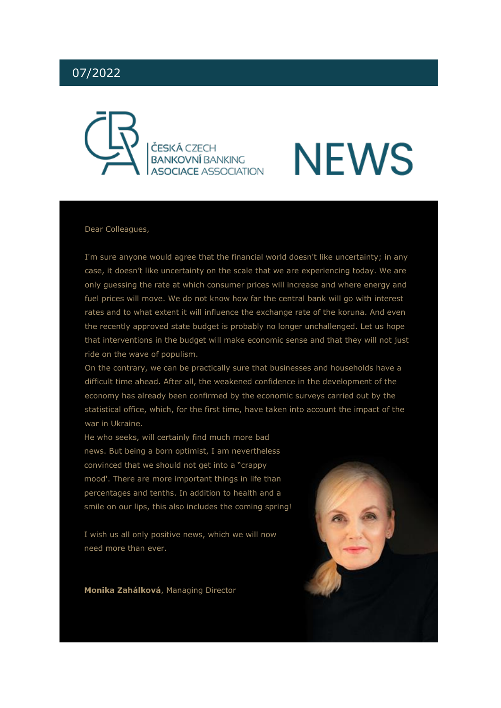# 07/2022



# **NEWS**

### Dear Colleagues,

I'm sure anyone would agree that the financial world doesn't like uncertainty; in any case, it doesn't like uncertainty on the scale that we are experiencing today. We are only guessing the rate at which consumer prices will increase and where energy and fuel prices will move. We do not know how far the central bank will go with interest rates and to what extent it will influence the exchange rate of the koruna. And even the recently approved state budget is probably no longer unchallenged. Let us hope that interventions in the budget will make economic sense and that they will not just ride on the wave of populism.

On the contrary, we can be practically sure that businesses and households have a difficult time ahead. After all, the weakened confidence in the development of the economy has already been confirmed by the economic surveys carried out by the statistical office, which, for the first time, have taken into account the impact of the war in Ukraine.

He who seeks, will certainly find much more bad news. But being a born optimist, I am nevertheless convinced that we should not get into a "crappy mood'. There are more important things in life than percentages and tenths. In addition to health and a smile on our lips, this also includes the coming spring!

I wish us all only positive news, which we will now need more than ever.

**Monika Zahálková**, Managing Director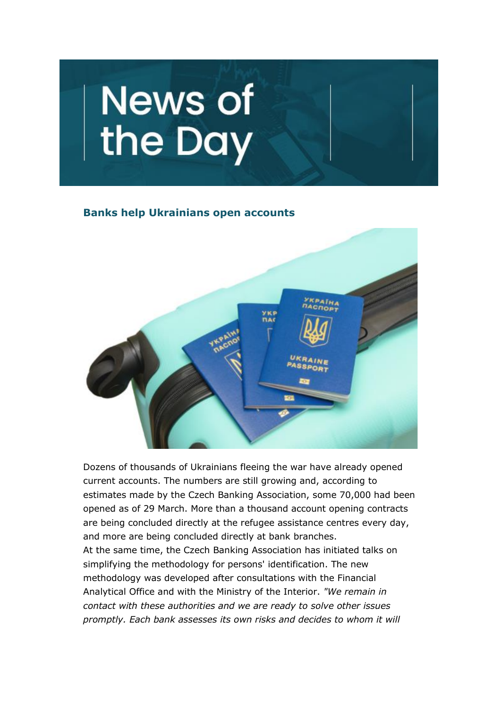

# **Banks help Ukrainians open accounts**



Dozens of thousands of Ukrainians fleeing the war have already opened current accounts. The numbers are still growing and, according to estimates made by the Czech Banking Association, some 70,000 had been opened as of 29 March. More than a thousand account opening contracts are being concluded directly at the refugee assistance centres every day, and more are being concluded directly at bank branches. At the same time, the Czech Banking Association has initiated talks on simplifying the methodology for persons' identification. The new methodology was developed after consultations with the Financial Analytical Office and with the Ministry of the Interior. *"We remain in contact with these authorities and we are ready to solve other issues promptly. Each bank assesses its own risks and decides to whom it will*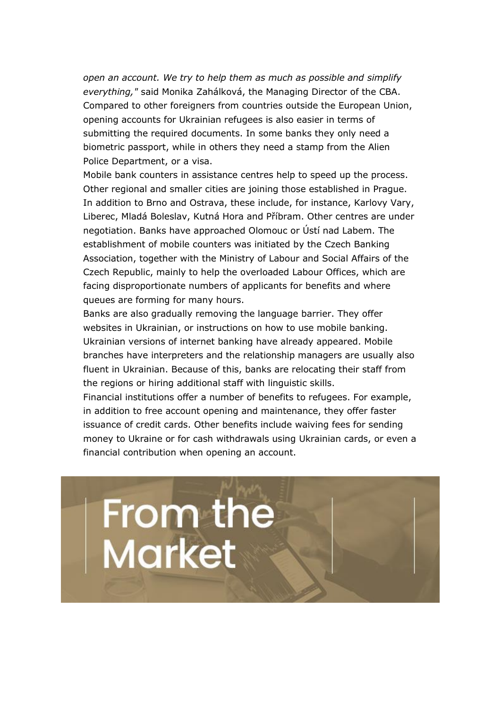*open an account. We try to help them as much as possible and simplify everything,"* said Monika Zahálková, the Managing Director of the CBA. Compared to other foreigners from countries outside the European Union, opening accounts for Ukrainian refugees is also easier in terms of submitting the required documents. In some banks they only need a biometric passport, while in others they need a stamp from the Alien Police Department, or a visa.

Mobile bank counters in assistance centres help to speed up the process. Other regional and smaller cities are joining those established in Prague. In addition to Brno and Ostrava, these include, for instance, Karlovy Vary, Liberec, Mladá Boleslav, Kutná Hora and Příbram. Other centres are under negotiation. Banks have approached Olomouc or Ústí nad Labem. The establishment of mobile counters was initiated by the Czech Banking Association, together with the Ministry of Labour and Social Affairs of the Czech Republic, mainly to help the overloaded Labour Offices, which are facing disproportionate numbers of applicants for benefits and where queues are forming for many hours.

Banks are also gradually removing the language barrier. They offer websites in Ukrainian, or instructions on how to use mobile banking. Ukrainian versions of internet banking have already appeared. Mobile branches have interpreters and the relationship managers are usually also fluent in Ukrainian. Because of this, banks are relocating their staff from the regions or hiring additional staff with linguistic skills.

Financial institutions offer a number of benefits to refugees. For example, in addition to free account opening and maintenance, they offer faster issuance of credit cards. Other benefits include waiving fees for sending money to Ukraine or for cash withdrawals using Ukrainian cards, or even a financial contribution when opening an account.

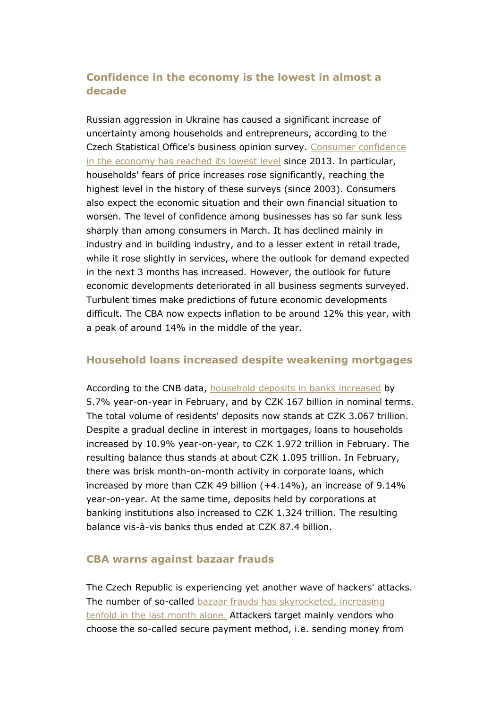# **Confidence in the economy is the lowest in almost a decade**

Russian aggression in Ukraine has caused a significant increase of uncertainty among households and entrepreneurs, according to the Czech Statistical Office's business opinion survey. [Consumer confidence](https://cbaonline.cz/ekonomicky-komentar-cba-prvni-makroindikatory-po-vypuknuti-valky-potvrzuji-citelny-propad-duvery-zejmena-mezi-domacnostmi)  [in the economy has reached its lowest level](https://cbaonline.cz/ekonomicky-komentar-cba-prvni-makroindikatory-po-vypuknuti-valky-potvrzuji-citelny-propad-duvery-zejmena-mezi-domacnostmi) since 2013. In particular, households' fears of price increases rose significantly, reaching the highest level in the history of these surveys (since 2003). Consumers also expect the economic situation and their own financial situation to worsen. The level of confidence among businesses has so far sunk less sharply than among consumers in March. It has declined mainly in industry and in building industry, and to a lesser extent in retail trade, while it rose slightly in services, where the outlook for demand expected in the next 3 months has increased. However, the outlook for future economic developments deteriorated in all business segments surveyed. Turbulent times make predictions of future economic developments difficult. The CBA now expects inflation to be around 12% this year, with a peak of around 14% in the middle of the year.

# **Household loans increased despite weakening mortgages**

According to the CNB data, [household deposits in banks increased](https://cbaonline.cz/tz-vklady-obyvatel-v-bankach-v-unoru-dale-rostly) by 5.7% year-on-year in February, and by CZK 167 billion in nominal terms. The total volume of residents' deposits now stands at CZK 3.067 trillion. Despite a gradual decline in interest in mortgages, loans to households increased by 10.9% year-on-year, to CZK 1.972 trillion in February. The resulting balance thus stands at about CZK 1.095 trillion. In February, there was brisk month-on-month activity in corporate loans, which increased by more than CZK 49 billion (+4.14%), an increase of 9.14% year-on-year. At the same time, deposits held by corporations at banking institutions also increased to CZK 1.324 trillion. The resulting balance vis-à-vis banks thus ended at CZK 87.4 billion.

# **CBA warns against bazaar frauds**

The Czech Republic is experiencing yet another wave of hackers' attacks. The number of so-called [bazaar frauds has skyrocketed, increasing](https://cbaonline.cz/cba-opet-varuje-pred-podvodniky-tentokrat-v-internetovych-bazarech)  [tenfold in the last month alone.](https://cbaonline.cz/cba-opet-varuje-pred-podvodniky-tentokrat-v-internetovych-bazarech) Attackers target mainly vendors who choose the so-called secure payment method, i.e. sending money from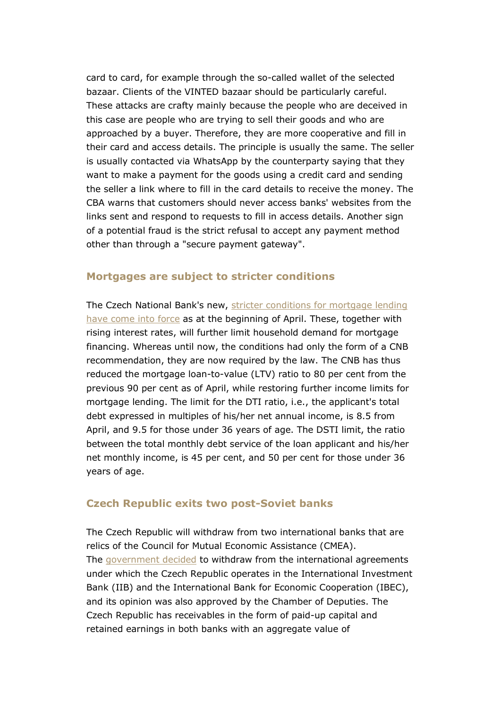card to card, for example through the so-called wallet of the selected bazaar. Clients of the VINTED bazaar should be particularly careful. These attacks are crafty mainly because the people who are deceived in this case are people who are trying to sell their goods and who are approached by a buyer. Therefore, they are more cooperative and fill in their card and access details. The principle is usually the same. The seller is usually contacted via WhatsApp by the counterparty saying that they want to make a payment for the goods using a credit card and sending the seller a link where to fill in the card details to receive the money. The CBA warns that customers should never access banks' websites from the links sent and respond to requests to fill in access details. Another sign of a potential fraud is the strict refusal to accept any payment method other than through a "secure payment gateway".

# **Mortgages are subject to stricter conditions**

The Czech National Bank's new, [stricter conditions for mortgage lending](https://www.cnb.cz/cs/cnb-news/tiskove-zpravy/CNB-nove-nastavi-limity-ukazatelu-LTV-DTI-a-DSTI-u-hypotecnich-uveru-zvysi-i-proticyklickou-kapitalovou-rezervu-na-2-/)  [have come into force](https://www.cnb.cz/cs/cnb-news/tiskove-zpravy/CNB-nove-nastavi-limity-ukazatelu-LTV-DTI-a-DSTI-u-hypotecnich-uveru-zvysi-i-proticyklickou-kapitalovou-rezervu-na-2-/) as at the beginning of April. These, together with rising interest rates, will further limit household demand for mortgage financing. Whereas until now, the conditions had only the form of a CNB recommendation, they are now required by the law. The CNB has thus reduced the mortgage loan-to-value (LTV) ratio to 80 per cent from the previous 90 per cent as of April, while restoring further income limits for mortgage lending. The limit for the DTI ratio, i.e., the applicant's total debt expressed in multiples of his/her net annual income, is 8.5 from April, and 9.5 for those under 36 years of age. The DSTI limit, the ratio between the total monthly debt service of the loan applicant and his/her net monthly income, is 45 per cent, and 50 per cent for those under 36 years of age.

# **Czech Republic exits two post-Soviet banks**

The Czech Republic will withdraw from two international banks that are relics of the Council for Mutual Economic Assistance (CMEA). The [government decided](https://www.mfcr.cz/cs/aktualne/tiskove-zpravy/2022/cr-ukonci-sve-clenstvi-ve-dvou-postsovet-46719) to withdraw from the international agreements under which the Czech Republic operates in the International Investment Bank (IIB) and the International Bank for Economic Cooperation (IBEC), and its opinion was also approved by the Chamber of Deputies. The Czech Republic has receivables in the form of paid-up capital and retained earnings in both banks with an aggregate value of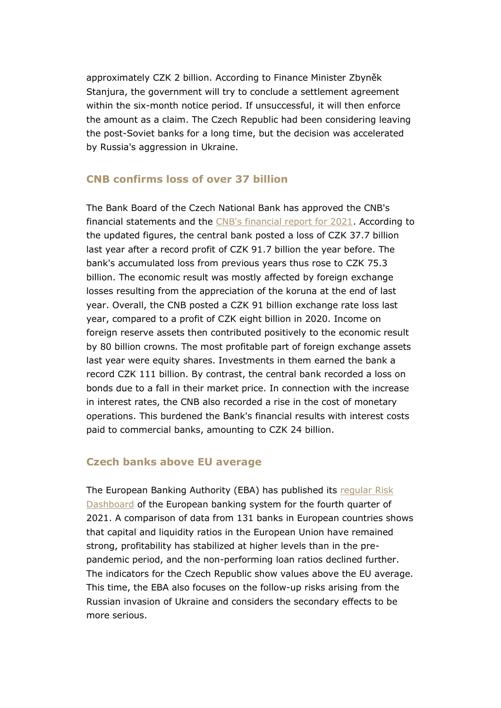approximately CZK 2 billion. According to Finance Minister Zbyněk Stanjura, the government will try to conclude a settlement agreement within the six-month notice period. If unsuccessful, it will then enforce the amount as a claim. The Czech Republic had been considering leaving the post-Soviet banks for a long time, but the decision was accelerated by Russia's aggression in Ukraine.

# **CNB confirms loss of over 37 billion**

The Bank Board of the Czech National Bank has approved the CNB's financial statements and the [CNB's financial report for 2021.](https://www.cnb.cz/cs/cnb-news/tiskove-zpravy/CNB-vykazala-za-lonsky-rok-ucetni-ztratu-377-mld.-Kc/) According to the updated figures, the central bank posted a loss of CZK 37.7 billion last year after a record profit of CZK 91.7 billion the year before. The bank's accumulated loss from previous years thus rose to CZK 75.3 billion. The economic result was mostly affected by foreign exchange losses resulting from the appreciation of the koruna at the end of last year. Overall, the CNB posted a CZK 91 billion exchange rate loss last year, compared to a profit of CZK eight billion in 2020. Income on foreign reserve assets then contributed positively to the economic result by 80 billion crowns. The most profitable part of foreign exchange assets last year were equity shares. Investments in them earned the bank a record CZK 111 billion. By contrast, the central bank recorded a loss on bonds due to a fall in their market price. In connection with the increase in interest rates, the CNB also recorded a rise in the cost of monetary operations. This burdened the Bank's financial results with interest costs paid to commercial banks, amounting to CZK 24 billion.

# **Czech banks above EU average**

The European Banking Authority (EBA) has published its [regular Risk](https://www.eba.europa.eu/eba-risk-dashboard-indicates-limited-direct-impact-eu-banks-russian-invasion-ukraine-also-points)  [Dashboard](https://www.eba.europa.eu/eba-risk-dashboard-indicates-limited-direct-impact-eu-banks-russian-invasion-ukraine-also-points) of the European banking system for the fourth quarter of 2021. A comparison of data from 131 banks in European countries shows that capital and liquidity ratios in the European Union have remained strong, profitability has stabilized at higher levels than in the prepandemic period, and the non-performing loan ratios declined further. The indicators for the Czech Republic show values above the EU average. This time, the EBA also focuses on the follow-up risks arising from the Russian invasion of Ukraine and considers the secondary effects to be more serious.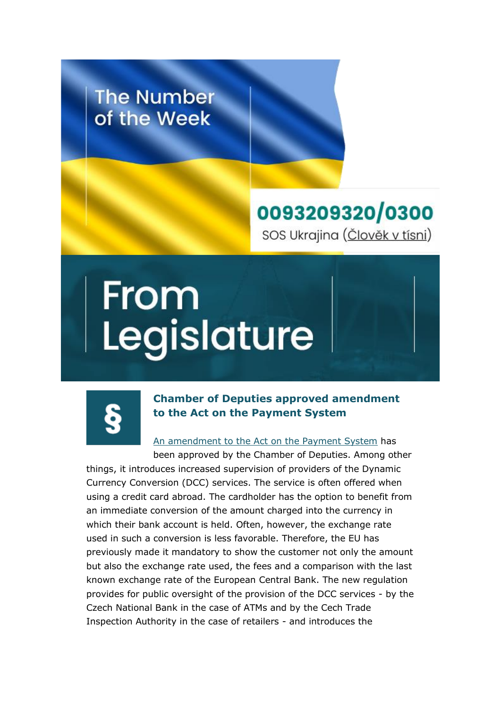# **The Number** of the Week

# 0093209320/0300 SOS Ukrajina (Člověk v tísni)

# From<br>Legislature



# **Chamber of Deputies approved amendment to the Act on the Payment System**

[An amendment to the Act on the Payment System](https://www.psp.cz/sqw/historie.sqw?o=9&t=68) has

been approved by the Chamber of Deputies. Among other things, it introduces increased supervision of providers of the Dynamic Currency Conversion (DCC) services. The service is often offered when using a credit card abroad. The cardholder has the option to benefit from an immediate conversion of the amount charged into the currency in which their bank account is held. Often, however, the exchange rate used in such a conversion is less favorable. Therefore, the EU has previously made it mandatory to show the customer not only the amount but also the exchange rate used, the fees and a comparison with the last known exchange rate of the European Central Bank. The new regulation provides for public oversight of the provision of the DCC services - by the Czech National Bank in the case of ATMs and by the Cech Trade Inspection Authority in the case of retailers - and introduces the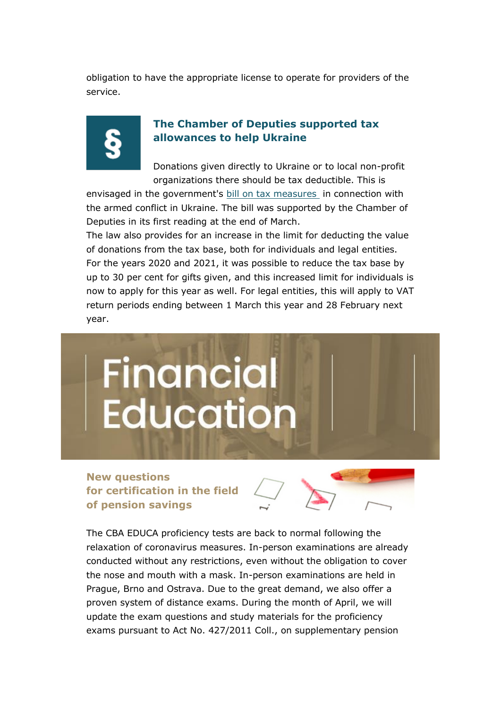obligation to have the appropriate license to operate for providers of the service.



# **The Chamber of Deputies supported tax allowances to help Ukraine**

Donations given directly to Ukraine or to local non-profit organizations there should be tax deductible. This is

envisaged in the government's [bill on tax measures](https://www.psp.cz/sqw/historie.sqw?o=9&t=173) in connection with the armed conflict in Ukraine. The bill was supported by the Chamber of Deputies in its first reading at the end of March.

The law also provides for an increase in the limit for deducting the value of donations from the tax base, both for individuals and legal entities. For the years 2020 and 2021, it was possible to reduce the tax base by up to 30 per cent for gifts given, and this increased limit for individuals is now to apply for this year as well. For legal entities, this will apply to VAT return periods ending between 1 March this year and 28 February next year.



**New questions for certification in the field of pension savings**



The CBA EDUCA proficiency tests are back to normal following the relaxation of coronavirus measures. In-person examinations are already conducted without any restrictions, even without the obligation to cover the nose and mouth with a mask. In-person examinations are held in Prague, Brno and Ostrava. Due to the great demand, we also offer a proven system of distance exams. During the month of April, we will update the exam questions and study materials for the proficiency exams pursuant to Act No. 427/2011 Coll., on supplementary pension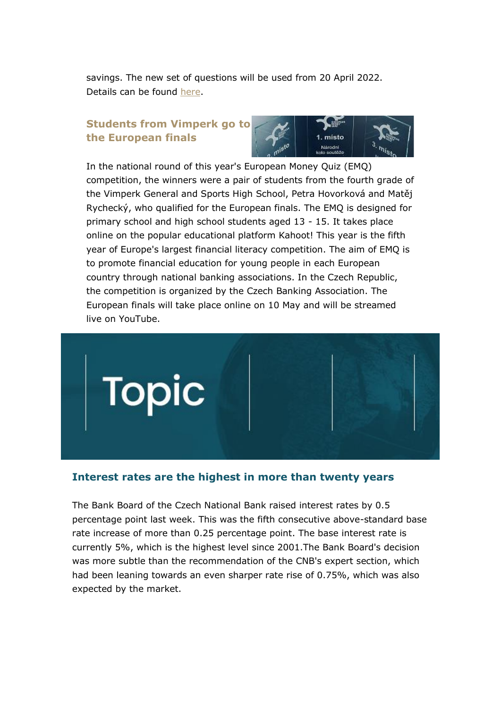savings. The new set of questions will be used from 20 April 2022. Details can be found [here.](https://www.cbaeduca.cz/ZkouskyPenze)

# **Students from Vimperk go to the European finals**



In the national round of this year's European Money Quiz (EMQ) competition, the winners were a pair of students from the fourth grade of the Vimperk General and Sports High School, Petra Hovorková and Matěj Rychecký, who qualified for the European finals. The EMQ is designed for primary school and high school students aged 13 - 15. It takes place online on the popular educational platform Kahoot! This year is the fifth year of Europe's largest financial literacy competition. The aim of EMQ is to promote financial education for young people in each European country through national banking associations. In the Czech Republic, the competition is organized by the Czech Banking Association. The European finals will take place online on 10 May and will be streamed live on YouTube.



# **Interest rates are the highest in more than twenty years**

The Bank Board of the Czech National Bank raised interest rates by 0.5 percentage point last week. This was the fifth consecutive above-standard base rate increase of more than 0.25 percentage point. The base interest rate is currently 5%, which is the highest level since 2001.The Bank Board's decision was more subtle than the recommendation of the CNB's expert section, which had been leaning towards an even sharper rate rise of 0.75%, which was also expected by the market.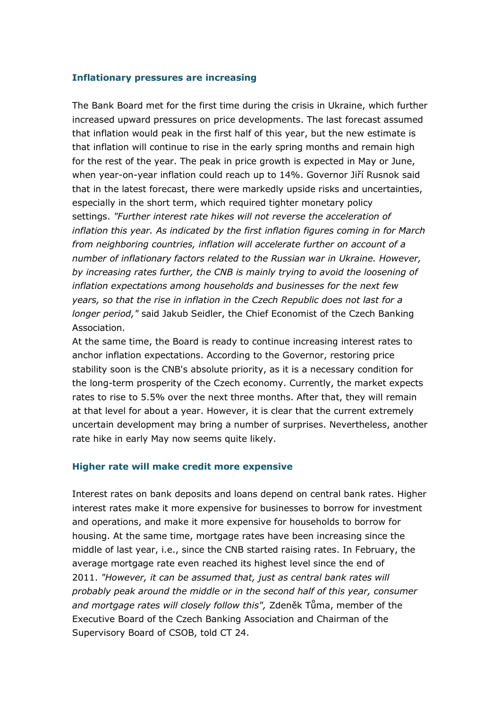# **Inflationary pressures are increasing**

The Bank Board met for the first time during the crisis in Ukraine, which further increased upward pressures on price developments. The last forecast assumed that inflation would peak in the first half of this year, but the new estimate is that inflation will continue to rise in the early spring months and remain high for the rest of the year. The peak in price growth is expected in May or June, when year-on-year inflation could reach up to 14%. Governor Jiří Rusnok said that in the latest forecast, there were markedly upside risks and uncertainties, especially in the short term, which required tighter monetary policy settings. *"Further interest rate hikes will not reverse the acceleration of inflation this year. As indicated by the first inflation figures coming in for March from neighboring countries, inflation will accelerate further on account of a number of inflationary factors related to the Russian war in Ukraine. However, by increasing rates further, the CNB is mainly trying to avoid the loosening of inflation expectations among households and businesses for the next few years, so that the rise in inflation in the Czech Republic does not last for a longer period,"* said Jakub Seidler, the Chief Economist of the Czech Banking Association.

At the same time, the Board is ready to continue increasing interest rates to anchor inflation expectations. According to the Governor, restoring price stability soon is the CNB's absolute priority, as it is a necessary condition for the long-term prosperity of the Czech economy. Currently, the market expects rates to rise to 5.5% over the next three months. After that, they will remain at that level for about a year. However, it is clear that the current extremely uncertain development may bring a number of surprises. Nevertheless, another rate hike in early May now seems quite likely.

### **Higher rate will make credit more expensive**

Interest rates on bank deposits and loans depend on central bank rates. Higher interest rates make it more expensive for businesses to borrow for investment and operations, and make it more expensive for households to borrow for housing. At the same time, mortgage rates have been increasing since the middle of last year, i.e., since the CNB started raising rates. In February, the average mortgage rate even reached its highest level since the end of 2011. *"However, it can be assumed that, just as central bank rates will probably peak around the middle or in the second half of this year, consumer and mortgage rates will closely follow this",* Zdeněk Tůma, member of the Executive Board of the Czech Banking Association and Chairman of the Supervisory Board of CSOB, told CT 24.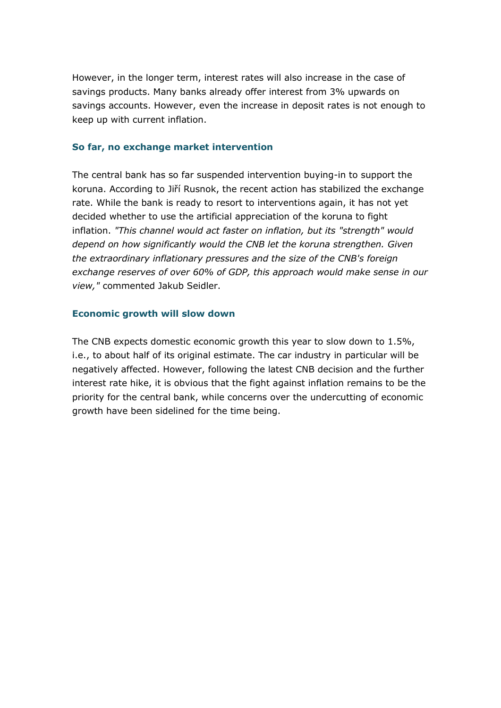However, in the longer term, interest rates will also increase in the case of savings products. Many banks already offer interest from 3% upwards on savings accounts. However, even the increase in deposit rates is not enough to keep up with current inflation.

# **So far, no exchange market intervention**

The central bank has so far suspended intervention buying-in to support the koruna. According to Jiří Rusnok, the recent action has stabilized the exchange rate. While the bank is ready to resort to interventions again, it has not yet decided whether to use the artificial appreciation of the koruna to fight inflation. *"This channel would act faster on inflation, but its "strength" would depend on how significantly would the CNB let the koruna strengthen. Given the extraordinary inflationary pressures and the size of the CNB's foreign exchange reserves of over 60% of GDP, this approach would make sense in our view,"* commented Jakub Seidler.

# **Economic growth will slow down**

The CNB expects domestic economic growth this year to slow down to 1.5%, i.e., to about half of its original estimate. The car industry in particular will be negatively affected. However, following the latest CNB decision and the further interest rate hike, it is obvious that the fight against inflation remains to be the priority for the central bank, while concerns over the undercutting of economic growth have been sidelined for the time being.